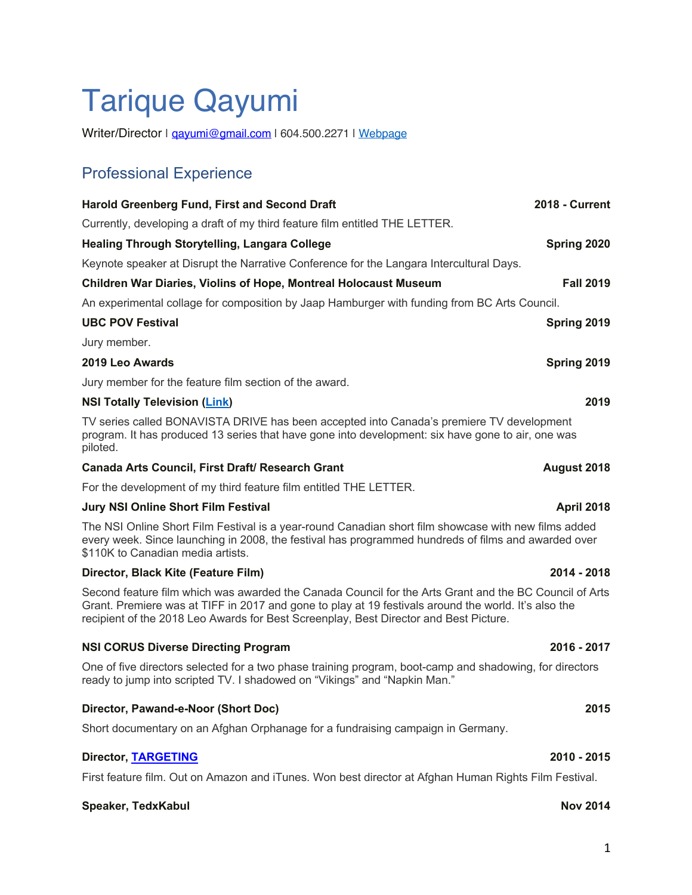# Tarique Qayumi

Writer/Director | gayumi@gmail.com | 604.500.2271 | Webpage

# Professional Experience

| <b>Harold Greenberg Fund, First and Second Draft</b>                                                                                                                                                      | <b>2018 - Current</b> |
|-----------------------------------------------------------------------------------------------------------------------------------------------------------------------------------------------------------|-----------------------|
| Currently, developing a draft of my third feature film entitled THE LETTER.                                                                                                                               |                       |
| <b>Healing Through Storytelling, Langara College</b>                                                                                                                                                      | Spring 2020           |
| Keynote speaker at Disrupt the Narrative Conference for the Langara Intercultural Days.                                                                                                                   |                       |
| <b>Children War Diaries, Violins of Hope, Montreal Holocaust Museum</b>                                                                                                                                   | <b>Fall 2019</b>      |
| An experimental collage for composition by Jaap Hamburger with funding from BC Arts Council.                                                                                                              |                       |
| <b>UBC POV Festival</b>                                                                                                                                                                                   | Spring 2019           |
| Jury member.                                                                                                                                                                                              |                       |
| 2019 Leo Awards                                                                                                                                                                                           | Spring 2019           |
| Jury member for the feature film section of the award.                                                                                                                                                    |                       |
| <b>NSI Totally Television (Link)</b>                                                                                                                                                                      | 2019                  |
| TV series called BONAVISTA DRIVE has been accepted into Canada's premiere TV development<br>program. It has produced 13 series that have gone into development: six have gone to air, one was<br>piloted. |                       |

### **Canada Arts Council, First Draft/ Research Grant August 2018**

For the development of my third feature film entitled THE LETTER.

### **Jury NSI Online Short Film Festival April 2018**

The NSI Online Short Film Festival is a year-round Canadian short film showcase with new films added every week. Since launching in 2008, the festival has programmed hundreds of films and awarded over \$110K to Canadian media artists.

#### **Director, Black Kite (Feature Film) 2014 - 2018**

Second feature film which was awarded the Canada Council for the Arts Grant and the BC Council of Arts Grant. Premiere was at TIFF in 2017 and gone to play at 19 festivals around the world. It's also the recipient of the 2018 Leo Awards for Best Screenplay, Best Director and Best Picture.

### **NSI CORUS Diverse Directing Program 2016 - 2017**

One of five directors selected for a two phase training program, boot-camp and shadowing, for directors ready to jump into scripted TV. I shadowed on "Vikings" and "Napkin Man."

# **Director, Pawand-e-Noor (Short Doc) 2015**

Short documentary on an Afghan Orphanage for a fundraising campaign in Germany.

### **Director, TARGETING 2010 - 2015**

First feature film. Out on Amazon and iTunes. Won best director at Afghan Human Rights Film Festival.

### **Speaker, TedxKabul Nov 2014**

### 1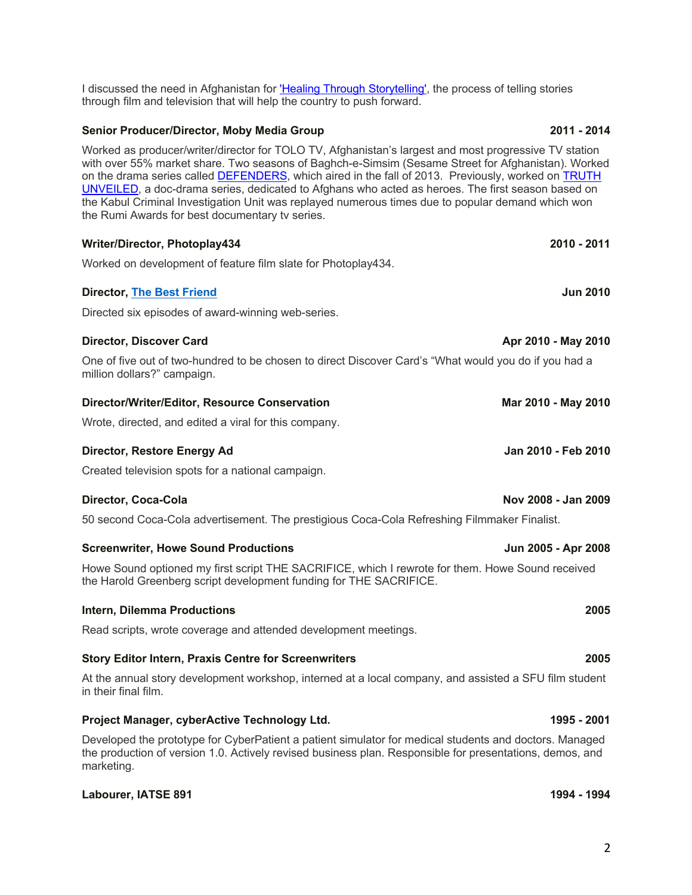I discussed the need in Afghanistan for 'Healing Through Storytelling', the process of telling stories through film and television that will help the country to push forward.

## **Senior Producer/Director, Moby Media Group 2011 - 2014**

Worked as producer/writer/director for TOLO TV, Afghanistan's largest and most progressive TV station with over 55% market share. Two seasons of Baghch-e-Simsim (Sesame Street for Afghanistan). Worked on the drama series called DEFENDERS, which aired in the fall of 2013. Previously, worked on TRUTH UNVEILED, a doc-drama series, dedicated to Afghans who acted as heroes. The first season based on the Kabul Criminal Investigation Unit was replayed numerous times due to popular demand which won the Rumi Awards for best documentary tv series.

# **Writer/Director, Photoplay434 2010 - 2011** Worked on development of feature film slate for Photoplay434. **Director, The Best Friend Jun 2010** Directed six episodes of award-winning web-series. **Director, Discover Card Apr 2010** - **May 2010** - **Apr 2010** - **May 2010**

One of five out of two-hundred to be chosen to direct Discover Card's "What would you do if you had a million dollars?" campaign.

# **Director/Writer/Editor, Resource Conservation <b>Mar 2010 - May 2010** - May 2010

Wrote, directed, and edited a viral for this company.

#### **Director, Restore Energy Ad Jan 2010 - Feb 2010**

Created television spots for a national campaign.

### **Director, Coca-Cola Nov 2008 - Jan 2009**

50 second Coca-Cola advertisement. The prestigious Coca-Cola Refreshing Filmmaker Finalist.

#### **Screenwriter, Howe Sound Productions Jun 2005 - Apr 2008**

Howe Sound optioned my first script THE SACRIFICE, which I rewrote for them. Howe Sound received the Harold Greenberg script development funding for THE SACRIFICE.

## **Intern, Dilemma Productions 2005**

Read scripts, wrote coverage and attended development meetings.

### **Story Editor Intern, Praxis Centre for Screenwriters 2005**

At the annual story development workshop, interned at a local company, and assisted a SFU film student in their final film.

### **Project Manager, cyberActive Technology Ltd. 1995 - 2001**

Developed the prototype for CyberPatient a patient simulator for medical students and doctors. Managed the production of version 1.0. Actively revised business plan. Responsible for presentations, demos, and marketing.

### **Labourer, IATSE 891 1994 - 1994**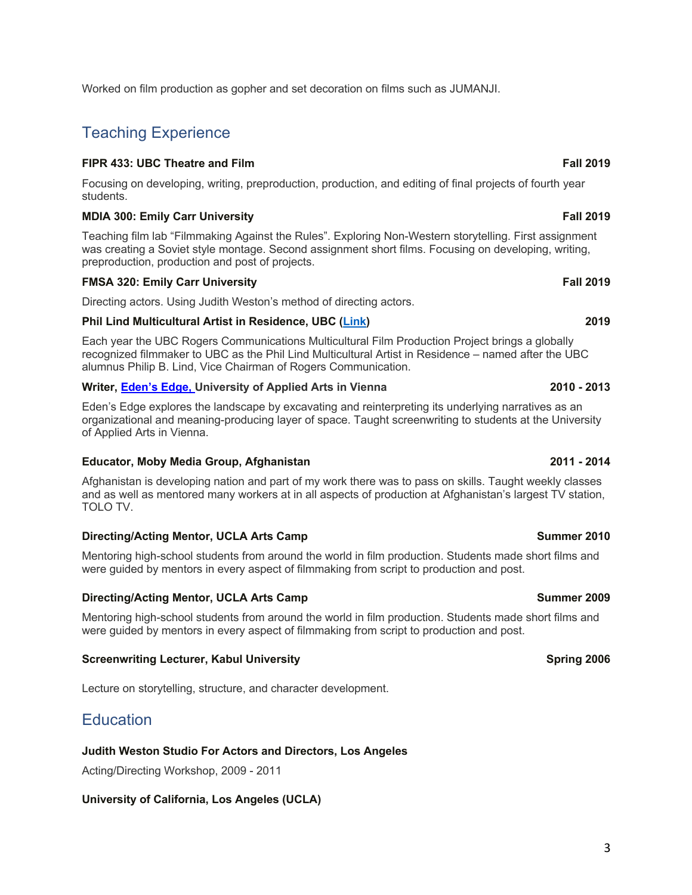3

# Worked on film production as gopher and set decoration on films such as JUMANJI.

# Teaching Experience

# **FIPR 433: UBC Theatre and Film Fall 2019**

Focusing on developing, writing, preproduction, production, and editing of final projects of fourth year students.

# **MDIA 300: Emily Carr University Fall 2019**

Teaching film lab "Filmmaking Against the Rules". Exploring Non-Western storytelling. First assignment was creating a Soviet style montage. Second assignment short films. Focusing on developing, writing, preproduction, production and post of projects.

# **FMSA 320: Emily Carr University Fall 2019**

Directing actors. Using Judith Weston's method of directing actors.

# **Phil Lind Multicultural Artist in Residence, UBC (Link) 2019**

Each year the UBC Rogers Communications Multicultural Film Production Project brings a globally recognized filmmaker to UBC as the Phil Lind Multicultural Artist in Residence – named after the UBC alumnus Philip B. Lind, Vice Chairman of Rogers Communication.

# **Writer, Eden's Edge, University of Applied Arts in Vienna 2010 - 2013**

Eden's Edge explores the landscape by excavating and reinterpreting its underlying narratives as an organizational and meaning-producing layer of space. Taught screenwriting to students at the University of Applied Arts in Vienna.

# **Educator, Moby Media Group, Afghanistan 2011 - 2014**

Afghanistan is developing nation and part of my work there was to pass on skills. Taught weekly classes and as well as mentored many workers at in all aspects of production at Afghanistan's largest TV station, TOLO TV.

# **Directing/Acting Mentor, UCLA Arts Camp Summer 2010 Summer 2010**

Mentoring high-school students from around the world in film production. Students made short films and were guided by mentors in every aspect of filmmaking from script to production and post.

# **Directing/Acting Mentor, UCLA Arts Camp Summer 2009 Summer 2009**

Mentoring high-school students from around the world in film production. Students made short films and were guided by mentors in every aspect of filmmaking from script to production and post.

# **Screenwriting Lecturer, Kabul University Spring 2006 Spring 2006**

Lecture on storytelling, structure, and character development.

# **Education**

# **Judith Weston Studio For Actors and Directors, Los Angeles**

Acting/Directing Workshop, 2009 - 2011

# **University of California, Los Angeles (UCLA)**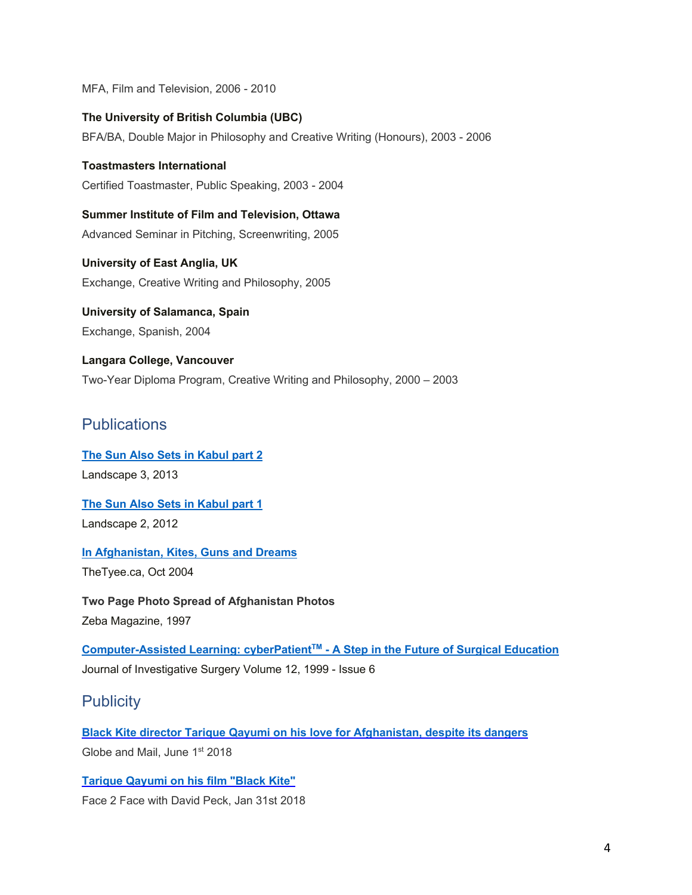MFA, Film and Television, 2006 - 2010

**The University of British Columbia (UBC)** BFA/BA, Double Major in Philosophy and Creative Writing (Honours), 2003 - 2006

**Toastmasters International** Certified Toastmaster, Public Speaking, 2003 - 2004

**Summer Institute of Film and Television, Ottawa** Advanced Seminar in Pitching, Screenwriting, 2005

**University of East Anglia, UK** Exchange, Creative Writing and Philosophy, 2005

**University of Salamanca, Spain** Exchange, Spanish, 2004

**Langara College, Vancouver** Two-Year Diploma Program, Creative Writing and Philosophy, 2000 – 2003

# **Publications**

**The Sun Also Sets in Kabul part 2** Landscape 3, 2013

**The Sun Also Sets in Kabul part 1** Landscape 2, 2012

**In Afghanistan, Kites, Guns and Dreams** TheTyee.ca, Oct 2004

**Two Page Photo Spread of Afghanistan Photos** Zeba Magazine, 1997

**Computer-Assisted Learning: cyberPatientTM - A Step in the Future of Surgical Education** Journal of Investigative Surgery Volume 12, 1999 - Issue 6

# **Publicity**

**Black Kite director Tarique Qayumi on his love for Afghanistan, despite its dangers** Globe and Mail, June 1st 2018

**Tarique Qayumi on his film "Black Kite"** Face 2 Face with David Peck, Jan 31st 2018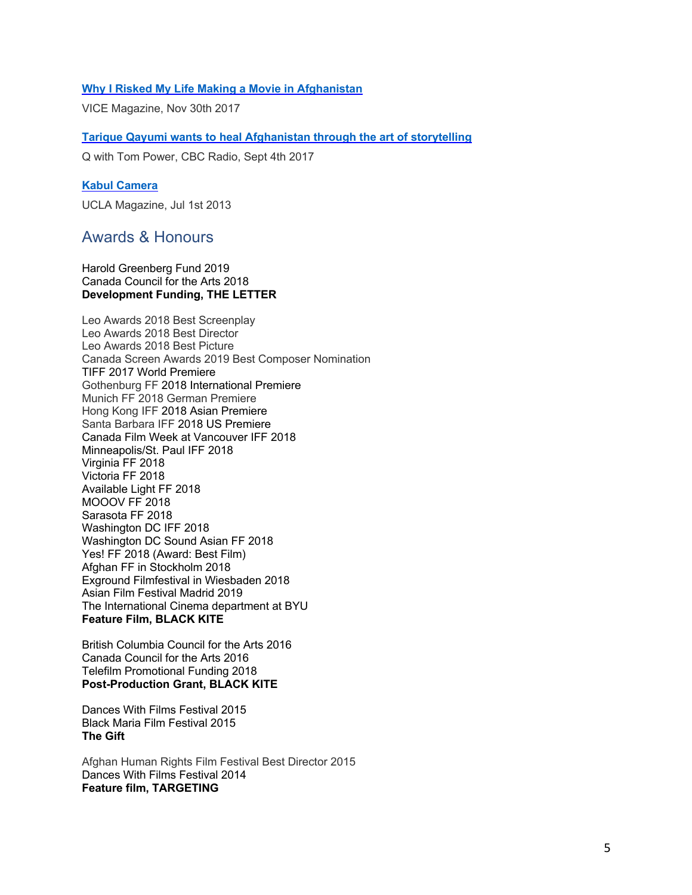### **Why I Risked My Life Making a Movie in Afghanistan**

VICE Magazine, Nov 30th 2017

**Tarique Qayumi wants to heal Afghanistan through the art of storytelling**

Q with Tom Power, CBC Radio, Sept 4th 2017

#### **Kabul Camera**

UCLA Magazine, Jul 1st 2013

# Awards & Honours

### Harold Greenberg Fund 2019 Canada Council for the Arts 2018 **Development Funding, THE LETTER**

Leo Awards 2018 Best Screenplay Leo Awards 2018 Best Director Leo Awards 2018 Best Picture Canada Screen Awards 2019 Best Composer Nomination TIFF 2017 World Premiere Gothenburg FF 2018 International Premiere Munich FF 2018 German Premiere Hong Kong IFF 2018 Asian Premiere Santa Barbara IFF 2018 US Premiere Canada Film Week at Vancouver IFF 2018 Minneapolis/St. Paul IFF 2018 Virginia FF 2018 Victoria FF 2018 Available Light FF 2018 MOOOV FF 2018 Sarasota FF 2018 Washington DC IFF 2018 Washington DC Sound Asian FF 2018 Yes! FF 2018 (Award: Best Film) Afghan FF in Stockholm 2018 Exground Filmfestival in Wiesbaden 2018 Asian Film Festival Madrid 2019 The International Cinema department at BYU **Feature Film, BLACK KITE**

British Columbia Council for the Arts 2016 Canada Council for the Arts 2016 Telefilm Promotional Funding 2018 **Post-Production Grant, BLACK KITE**

Dances With Films Festival 2015 Black Maria Film Festival 2015 **The Gift**

Afghan Human Rights Film Festival Best Director 2015 Dances With Films Festival 2014 **Feature film, TARGETING**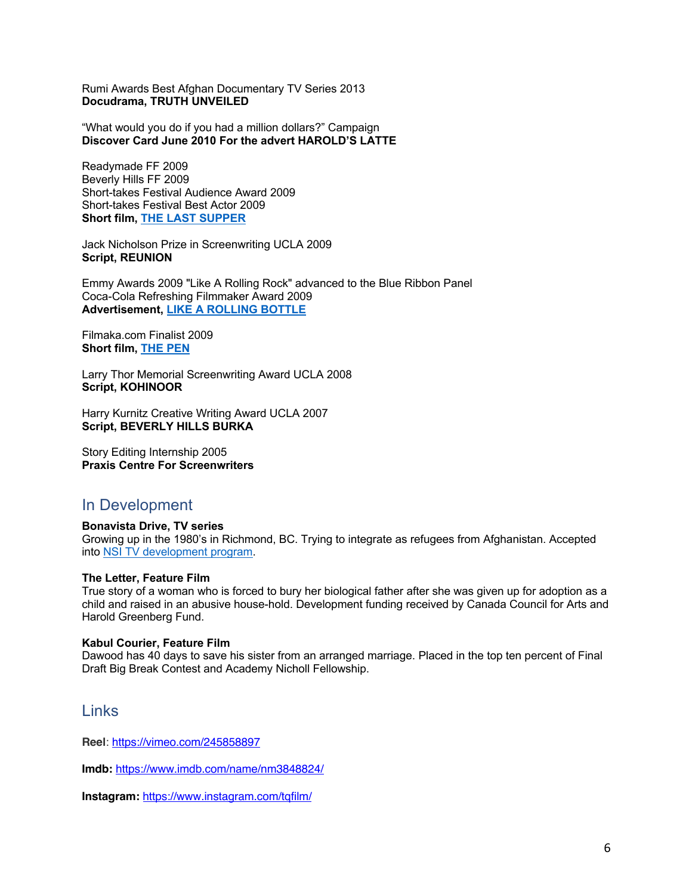Rumi Awards Best Afghan Documentary TV Series 2013 **Docudrama, TRUTH UNVEILED**

"What would you do if you had a million dollars?" Campaign **Discover Card June 2010 For the advert HAROLD'S LATTE**

Readymade FF 2009 Beverly Hills FF 2009 Short-takes Festival Audience Award 2009 Short-takes Festival Best Actor 2009 **Short film, THE LAST SUPPER**

Jack Nicholson Prize in Screenwriting UCLA 2009 **Script, REUNION**

Emmy Awards 2009 "Like A Rolling Rock" advanced to the Blue Ribbon Panel Coca-Cola Refreshing Filmmaker Award 2009 **Advertisement, LIKE A ROLLING BOTTLE**

Filmaka.com Finalist 2009 **Short film, THE PEN**

Larry Thor Memorial Screenwriting Award UCLA 2008 **Script, KOHINOOR**

Harry Kurnitz Creative Writing Award UCLA 2007 **Script, BEVERLY HILLS BURKA** 

Story Editing Internship 2005 **Praxis Centre For Screenwriters**

# In Development

**Bonavista Drive, TV series** Growing up in the 1980's in Richmond, BC. Trying to integrate as refugees from Afghanistan. Accepted into NSI TV development program.

### **The Letter, Feature Film**

True story of a woman who is forced to bury her biological father after she was given up for adoption as a child and raised in an abusive house-hold. Development funding received by Canada Council for Arts and Harold Greenberg Fund.

### **Kabul Courier, Feature Film**

Dawood has 40 days to save his sister from an arranged marriage. Placed in the top ten percent of Final Draft Big Break Contest and Academy Nicholl Fellowship.

# Links

**Reel**: https://vimeo.com/245858897

**Imdb:** https://www.imdb.com/name/nm3848824/

**Instagram:** https://www.instagram.com/tqfilm/